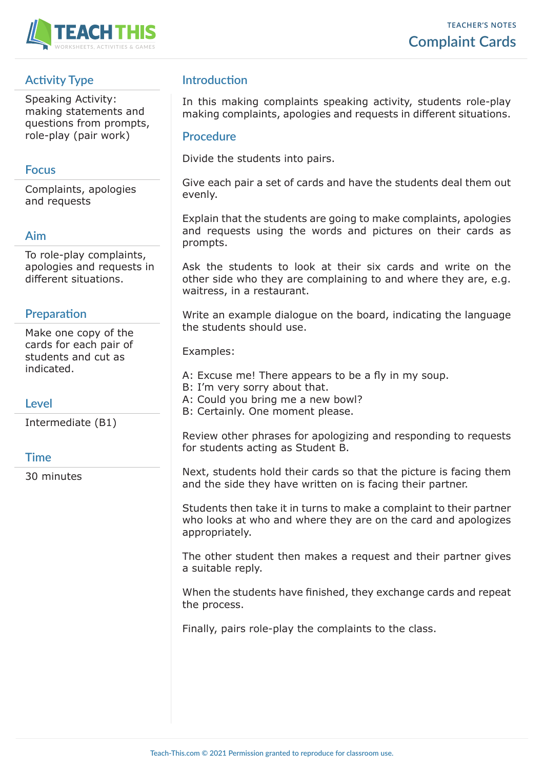

# **Activity Type**

Speaking Activity: making statements and questions from prompts, role-play (pair work)

### **Focus**

Complaints, apologies and requests

#### **Aim**

To role-play complaints, apologies and requests in different situations.

### **Preparation**

Make one copy of the cards for each pair of students and cut as indicated.

#### **Level**

Intermediate (B1)

#### **Time**

30 minutes

## **Introduction**

In this making complaints speaking activity, students role-play making complaints, apologies and requests in different situations.

#### **Procedure**

Divide the students into pairs.

Give each pair a set of cards and have the students deal them out evenly.

Explain that the students are going to make complaints, apologies and requests using the words and pictures on their cards as prompts.

Ask the students to look at their six cards and write on the other side who they are complaining to and where they are, e.g. waitress, in a restaurant.

Write an example dialogue on the board, indicating the language the students should use.

Examples:

- A: Excuse me! There appears to be a fly in my soup.
- B: I'm very sorry about that.
- A: Could you bring me a new bowl?
- B: Certainly. One moment please.

Review other phrases for apologizing and responding to requests for students acting as Student B.

Next, students hold their cards so that the picture is facing them and the side they have written on is facing their partner.

Students then take it in turns to make a complaint to their partner who looks at who and where they are on the card and apologizes appropriately.

The other student then makes a request and their partner gives a suitable reply.

When the students have finished, they exchange cards and repeat the process.

Finally, pairs role-play the complaints to the class.